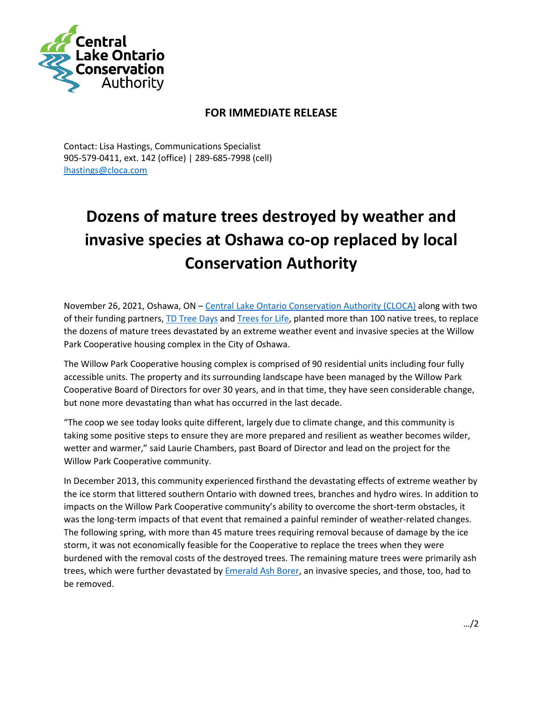

## **FOR IMMEDIATE RELEASE**

Contact: Lisa Hastings, Communications Specialist 905-579-0411, ext. 142 (office) | 289-685-7998 (cell) [lhastings@cloca.com](mailto:lhastings@cloca.com)

## **Dozens of mature trees destroyed by weather and invasive species at Oshawa co-op replaced by local Conservation Authority**

November 26, 2021, Oshawa, ON – [Central Lake Ontario Conservation Authority \(CLOCA\)](https://www.cloca.com/) along with two of their funding partners, [TD Tree Days](https://www.tdtreedays.com/en-ca/) an[d Trees for Life,](https://www.treesforlife.ca/) planted more than 100 native trees, to replace the dozens of mature trees devastated by an extreme weather event and invasive species at the Willow Park Cooperative housing complex in the City of Oshawa.

The Willow Park Cooperative housing complex is comprised of 90 residential units including four fully accessible units. The property and its surrounding landscape have been managed by the Willow Park Cooperative Board of Directors for over 30 years, and in that time, they have seen considerable change, but none more devastating than what has occurred in the last decade.

"The coop we see today looks quite different, largely due to climate change, and this community is taking some positive steps to ensure they are more prepared and resilient as weather becomes wilder, wetter and warmer," said Laurie Chambers, past Board of Director and lead on the project for the Willow Park Cooperative community.

In December 2013, this community experienced firsthand the devastating effects of extreme weather by the ice storm that littered southern Ontario with downed trees, branches and hydro wires. In addition to impacts on the Willow Park Cooperative community's ability to overcome the short-term obstacles, it was the long-term impacts of that event that remained a painful reminder of weather-related changes. The following spring, with more than 45 mature trees requiring removal because of damage by the ice storm, it was not economically feasible for the Cooperative to replace the trees when they were burdened with the removal costs of the destroyed trees. The remaining mature trees were primarily ash trees, which were further devastated by [Emerald Ash Borer,](http://www.invadingspecies.com/invaders/forest/emerald-ash-borer/) an invasive species, and those, too, had to be removed.